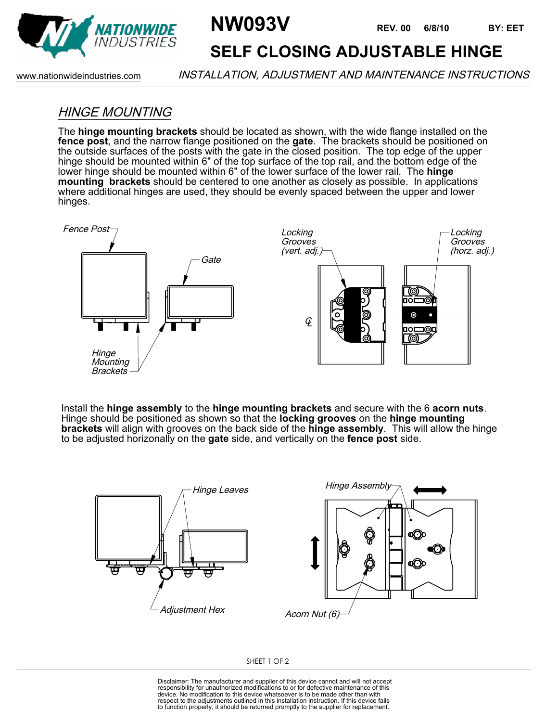

# **NW093V REV. 00 6/8/10**

**REV. 00 BY: EET**

## **SELF CLOSING ADJUSTABLE HINGE**

www.nationwideindustries.com INSTALLATION, ADJUSTMENT AND MAINTENANCE INSTRUCTIONS

### HINGE MOUNTING

The **hinge mounting brackets** should be located as shown, with the wide flange installed on the **fence post**, and the narrow flange positioned on the **gate**. The brackets should be positioned on the outside surfaces of the posts with the gate in the closed position. The top edge of the upper hinge should be mounted within 6" of the top surface of the top rail, and the bottom edge of the lower hinge should be mounted within 6" of the lower surface of the lower rail. The **hinge mounting brackets** should be centered to one another as closely as possible. In applications where additional hinges are used, they should be evenly spaced between the upper and lower hinges.



Install the **hinge assembly** to the **hinge mounting brackets** and secure with the 6 **acorn nuts**. Hinge should be positioned as shown so that the **locking grooves** on the **hinge mounting brackets** will align with grooves on the back side of the **hinge assembly**. This will allow the hinge to be adjusted horizonally on the **gate** side, and vertically on the **fence post** side.



#### SHEET 1 OF 2

Disclaimer: The manufacturer and supplier of this device cannot and will not accept responsibility for unauthorized modifications to or for defective maintenance of this device. No modification to this device whatsoever is to be made other than with respect to the adjustments outlined in this installation instruction. If this device fails to function properly, it should be returned promptly to the supplier for replacement.